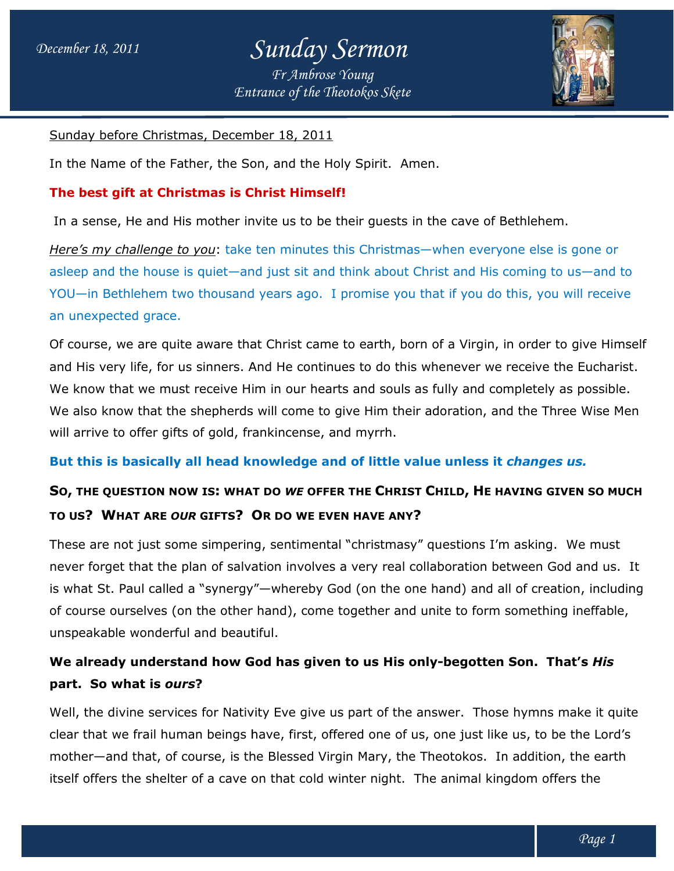## *December 18, 2011 Sunday Sermon Entrance of the Theotokos Skete Fr Ambrose Young*



Sunday before Christmas, December 18, 2011

<u>Sunday before Christmas, December 18, 2011</u><br>In the Name of the Father, the Son, and the Holy Spirit. Amen.

#### **The best gift at Christmas is Christ Himself! Himself!**

In a sense, He and His mother invite us to be their guests in the cave of Bethlehem.

In a sense, He and His mother invite us to be their guests in the cave of Bethlehem.<br>Here's my challenge to you: take ten minutes this Christmas—when everyone else is gone or <u>Here's my challenge to you</u>: take ten minutes this Christmas—when everyone else is gone or<br>asleep and the house is quiet—and just sit and think about Christ and His coming to us—and to asleep and the house is quiet—and just sit and think about Christ and His coming to us—and to<br>YOU—in Bethlehem two thousand years ago. I promise you that if you do this, you will receive an unexpected grace.

Of course, we are quite aware that Christ came to earth, born of a Virgin, in order to give Himself and His very life, for us sinners. And He continues to do this whenever we receive the Eucharist. We know that we must receive Him in our hearts and souls as fully and completely as possible. We also know that the shepherds will come to give Him their adoration, and the Three Wise Men will arrive to offer gifts of gold, frankincense, and myrrh. *Entrance of the Theotokos Skete*<br>
<u>Ember 18, 2011</u><br>
E Son, and the Holy Spirit. Amen<br> **s Christ Himself!**<br> **r** invite us to be their guests in the sket ten minutes this Christmas—<br>
and just sit and think about Chr<br>
that C Of course, we are quite aware that Christ came to earth, born of a Virgin, in order to gi<br>and His very life, for us sinners. And He continues to do this whenever we receive the I<br>We know that we must receive Him in our hea

#### **But this is basically all head knowledge and of little value unless it**  *changes us.*

### **S**O, THE QUESTION NOW IS: WHAT DO WE OFFER THE CHRIST CHILD, HE HAVING GIVEN SO MUCH **TO US? WHAT ARE** *OUR* **GIFTS? O OR DO WE EVEN HAVE ANY?**

These are not just some simpering, sentimental "christmasy" questions I'm asking. We must never forget that the plan of salvation involves a very real collaboration between God and us. is what St. Paul called a "synergy"—whereby God (on the one hand) and all of creation, including of course ourselves (on the other hand), come together and unite to form something ineffable, of course the other ineffable, unspeakable wonderful and beautiful. ese are not just some simpering, sentimental "christmasy" questions I'm asking. W<br>ver forget that the plan of salvation involves a very real collaboration between God<br>what St. Paul called a "synergy"—whereby God (on the on us. It

### We already understand how God has given to us His only-begotten Son. That's *His* **part. So what is** *ours***?**

Well, the divine services for Nativity Eve give us part of the answer. Those hymns make it quite clear that we frail human beings have, first, offered one of us, one just like us, to be the Lord's clear that we frail human beings have, first, offered one of us, one just like us, to be the Lord's<br>mother—and that, of course, is the Blessed Virgin Mary, the Theotokos. In addition, the earth itself offers the shelter of a cave on that cold winter night. The animal kingdom offers the answer. Those hymns make it quite<br>us, one just like us, to be the Lord's<br>Theotokos. In addition, the earth<br>The animal kingdom offers the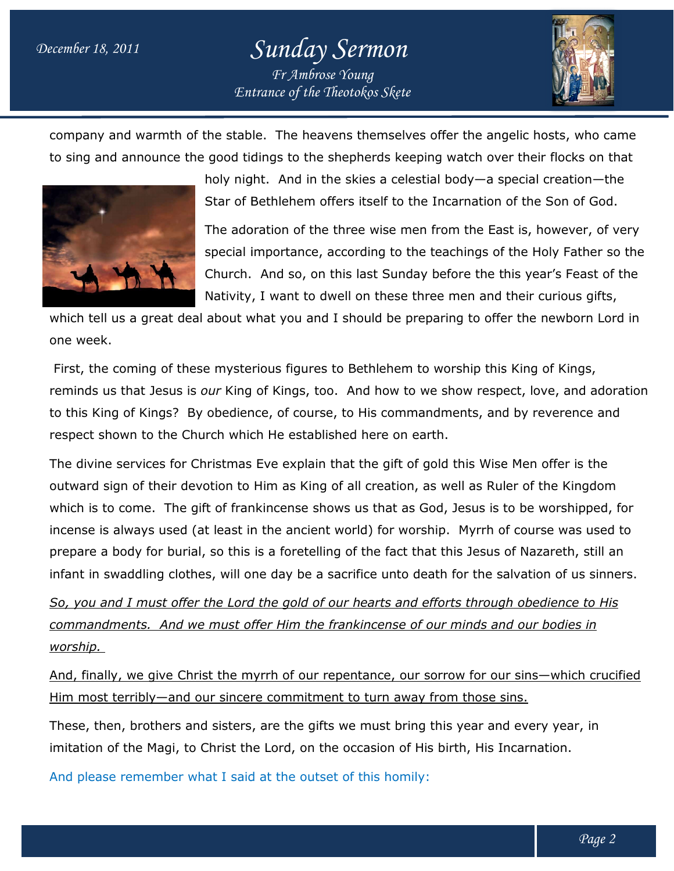# *December 18, 2011 Sunday Sermon Fr Ambrose Young*

*Entrance of the Theotokos Skete*



company and warmth of the stable. The heavens themselves offer the angelic hosts, who came to sing and announce the good tidings to the shepherds keeping watch over their flocks on that The heavens themselves offer the angelic hosts, who came<br>is to the shepherds keeping watch over their flocks on that<br>And in the skies a celestial body—a special creation—the



e good tidings to the shepherds keeping watch over their flocks  $\mathfrak c$ <br>holy night. And in the skies a celestial body—a special creation Star of Bethlehem offers itself to the Incarnation of the Son of God.

The adoration of the three wise men from the East is, however, of very special importance, according to the teachings of the Holy Father so the special importance, according to the teachings of the Holy Father so the<br>Church. And so, on this last Sunday before the this year's Feast of the Nativity, I want to dwell on these three men and their curious gifts, nee wise men from the East is, however, of v<br>cording to the teachings of the Holy Father so<br>is last Sunday before the this year's Feast of the<br>ll on these three men and their curious gifts,<br>should be preparing to offer the

which tell us a great deal about what you and I should be preparing to offer the newborn Lord in one week. Nativity, I want to dwell on these three men and their curious gif<br>us a great deal about what you and I should be preparing to offer the newborn I<br>coming of these mysterious figures to Bethlehem to worship this King of Kin

First, the coming of these mysterious figures to Bethlehem to worship this King of Kings, reminds us that Jesus is *our* King of Kings, too. And how to we show respect, love, and adoration to this King of Kings? By obedience, of course, to His commandments, and by reverence and respect shown to the Church which He established here on earth.

respect shown to the Church which He established here on earth.<br>The divine services for Christmas Eve explain that the gift of gold this Wise Men offer is the outward sign of their devotion to Him as King of all creation, as well as Ruler of the Kingdom which is to come. The gift of frankincense shows us that as God, Jesus is to be worshipped, for incense is always used (at least in the ancient world) for worship. Myrrh of course was used to prepare a body for burial, so this is a foretelling of the fact that this Jesus of Nazareth, still an prepare a body for burial, so this is a foretelling of the fact that this Jesus of Nazareth, still<br>infant in swaddling clothes, will one day be a sacrifice unto death for the salvation of us sin *Entrance of the Theotokos Skete*<br> **Entrance of the Theotokos Skete**<br> **Entrance of the shepherds keepin**<br>
right. And in the skies a celestial<br>
of Bethlehem offers itself to the 1<br>
adoration of the three wise men fial impor outward sign of their devotion to Him as King of all creation, as well as Ruler of the Kingdom<br>which is to come. The gift of frankincense shows us that as God, Jesus is to be worshipped, for<br>incense is always used (at lea his Wise Men offer is the<br>Il as Ruler of the Kingdom<br>esus is to be worshipped, for<br>Myrrh of course was used to<br>s Jesus of Nazareth, still an<br>or the salvation of us sinners.

*So, you and I must offer the Lord the gold of our hearts and efforts through obedience to His*  <u>So, you and I must offer the Lord the gold of our hearts and efforts through obedience to .</u><br><u>commandments. And we must offer Him the frankincense of our minds and our bodies in</u> *worship.* 

<u>And, finally, we give Christ the myrrh of our repentance, our sorrow for our sins—which crucified</u> Him most terribly—and our sincere commitment to turn away from those sins.

These, then, brothers and sisters, are the gifts we must bring this year and every year, in <u>Him most terribly—and our sincere commitment to turn away from those sins.</u><br>These, then, brothers and sisters, are the gifts we must bring this year and every year, in<br>imitation of the Magi, to Christ the Lord, on the occ

And please remember what I said at the outset of this homily: